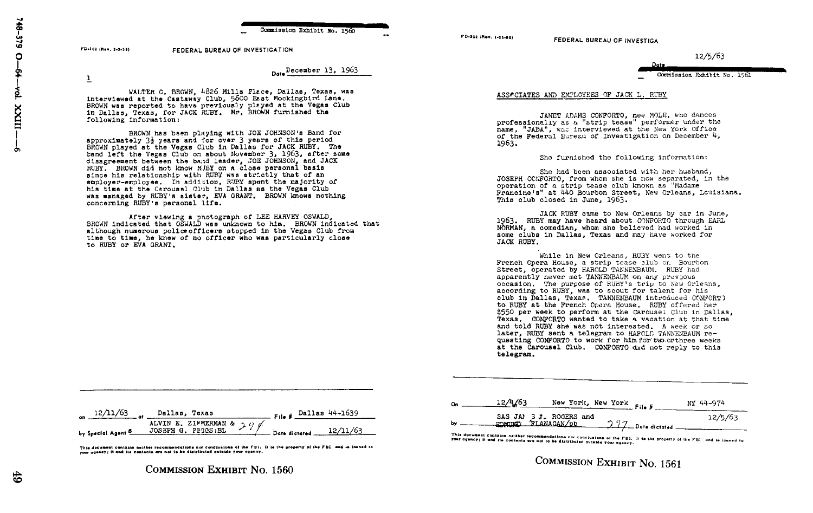Commission Exhibit No. 1560

Detallecember 13, 1963

FD-302 (Rev. 1-15-60)

FEDERAL BUREAU OF INVESTIGA

12/5/63

NY 44-974

Date Commission Exhibit No. 1561

ASSACIATES AND EMPLOYEES OF JACK L. RUBY

JANET ADAMS CONFORTO, nee MOLE, who dances professionally as a "strip tease" performer under the name, "JADA", was interviewed at the New York Office of the Federal Eureau of Investigation on December 4, 1963.

She furnished the following information:

She had been associated with her husband, JOSEPH CONFORTO, from whom she is now separated. in the operation of a strip tease club known as "Madame" Francine's" at 440 Bourbon Street, New Orleans, Louisiana. This club closed in June. 1963.

JACK RUBY came to New Orleans by car in June. 1963. RUBY may have heard about CONFORTO through EARL NORMAN, a comedian, whom she believed had worked in some clubs in Dallas. Texas and may have worked for JACK RUBY.

While in New Orleans, RUBY went to the French Opera House, a strip tease club on Bourbon Street, operated by HAROLD TANNENBAUM. RUBY had apparently never met TANNENBAUM on any previous occasion. The purpose of RUBY's trip to New Orleans. according to RUBY, was to scout for talent for his club in Dallas, Texas, TANNENBAUM introduced CONFORT) to RUBY at the French Opera House. RUBY offered her \$550 per week to perform at the Carousel Club in Dallas, Texas. CONFORTO wanted to take a vacation at that time and told RUBY she was not interested. A week or so later. RUBY sent a telegram to HAROLD TANNENBAUM requesting CONFORTO to work for him for two orthree weeks at the Carousel Club. CONFORTO did not reply to this telegram.

|                    | on $\frac{12/11/63}{\text{at}}$ of $\frac{D}{12}$ Dallas, Texas | $F_{\text{11a}}$ $F_{\text{21a}}$ $F_{\text{31a}}$ $F_{\text{41a}}$ $F_{\text{51a}}$ $F_{\text{61a}}$ $F_{\text{7a}}$ $F_{\text{8a}}$ $F_{\text{8a}}$ $F_{\text{9a}}$ $F_{\text{12a}}$ $F_{\text{13a}}$ $F_{\text{14a}}$ $F_{\text{15a}}$ $F_{\text{16a}}$ $F_{\text{17a}}$ $F_{\text{18a}}$ $F_{\text{18a}}$ $F_{\text{18a$ |  |
|--------------------|-----------------------------------------------------------------|------------------------------------------------------------------------------------------------------------------------------------------------------------------------------------------------------------------------------------------------------------------------------------------------------------------------------|--|
| by Soucial Agent 5 | ALVIN E. ZIMMERMAN & $29$                                       | $\sim$ $\sim$ Dete dictated $\sim$ 12/11/63                                                                                                                                                                                                                                                                                  |  |

FEDERAL BUREAU OF INVESTIGATION

interviewed at the Castaway Club, 5600 East Mockingbird Lane. BROWN was reported to have previously played at the Vegas Club

approximately  $3\frac{1}{2}$  years and for over 3 years of this period BROWN played at the Vegas Club in Dallas for JACK RUBY. The

disagreement between the band leader, JOE JOHNSON, and JACK RUBY. BROWN did not know RUBY on a close personal basis

employer-employee. In addition, RUBY spent the majority of

was managed by RUBY's sister, EVA GRANT. BROWN knows nothing

although numerous police officers stopped in the Vegas Club from

time to time. he knew of no officer who was particularly close

After viewing a photograph of LEE HARVEY OSWALD,

BROWN indicated that OSWALD was unknown to him. BROWN indicated that

since his relationship with RUBY was strictly that of an

his time at the Carousal Club in Dallas as the Vegas Club

band left the Vezas Club on about November 3, 1963, after some

in Dallas. Texas, for JACK RUBY. Mr. BROWN furnished the

WALTER C. BROWN, 4826 Mills Flace, Dallas, Texas, was

BROWN has been playing with JOK JOHNSON's Band for

This document contains neither recommendations nor conclusions of the FBI. It is the property of the FBI and is loaned to your agency; it and its contents are not to be distributed outside your agency.

New York, New York

12/4/63

**COMMISSION EXHIBIT No. 1561** 

File #

**COMMISSION EXHIBIT NO. 1560** 

FD-302 (Rev. 3-3-59)

following information:

to RUBY or EVA GRANT.

concerning RUBY's personal life.

 $\overline{1}$ 

5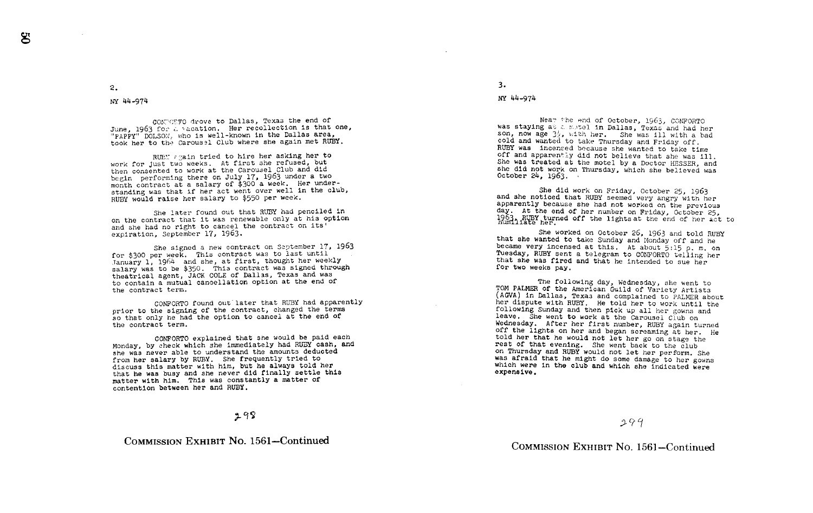2 .

NY 44-974

CONTORTO drove to Dallas, Texas the end of June, 1963 for a vacation. Her recollection is that<br>"PAPPY" DOLSON, who is well-known in the Dallas area,<br>"PAPPY" DOLSON, who used Olyh whom the Pasin met RHT June, 1963 for a vacation. Her recollection is that one, took her to the Carousel Club where she again met RUBY.

RUEY again tried to hire her asking her to work for just two weeks. At first she refused, but then consented to work at the Carousel Club and did begin performing there on July 17, 1963 under a two month contract at a salary of \$300 a week. Her understanding was that if her act went over well In the club, RUBY would raise her salary to \$550 per week.

She later found out that RUBY had penciled In on the contract that it was renewable only at his option and she had no right to cancel the contract on its' expiration, September 17, 1963.

She signed <sup>a</sup> new contract on September 17, 1963 for \$300 per week. This contract was to last until Tanuary 1, <sup>1964</sup> and she, at first, thought her weekly salary was to be \$350. This contract was signed through theatrical agent, JACK COLE of Dallas, Texas and was to contain a mutual cancellation option at the end of the contract term.

CONFORTO found out later that RUBY had apparently prior to the signing of the contract, changed the terms so that only he had the option to cancel at the end of the contract term.

CONFORTO explained that she would be paid each<br>Monday, by check which she immediately had RUBY cash, and<br>had RUBY cash, and the smounts deducted she was never able to understand the amounts deducted<br>from her salary by RUBY. She frequently tried to from her salary by RUBY. She frequently tried to<br>discuss this matter with him, but he always told her<br>that he was busy and she nayer did finally settle th that he was busy and she never did finally settle this matter with him. This was constantly a matter of contention between her and RUBY .

### $298$

# COMMISSION EXHIBIT No. 1561-Continued

3 .

#### NY 44-974

Near the end of October, 1963. CONFORTO was staying at a motel in Dallas, Texas and had her<br>son, now age 24, with hand the man illusticated son, now age  $3<sub>2</sub>$ , with her. She was ill with cold and wanted to take Thursday and Friday off.<br>RUBY was incensed because she wanted to take time off and apparently did not believe that she was 111. She was treated at the motel by a Doctor HESSER, and she did not work on Thursday, which she believed was October 24, 1963.

She did work on Friday, October 25, 1963<br>and she noticed that RUBY seemed very angry with her<br>apparently because she had not worked on the previous day. At the end of her number on Friday, October 25,  $1963$ , RUBY turned off the lights at the end of her act to

She worked on October 26, 1963 and told RUBY<br>that she wanted to take Sunday and Monday off and he<br>became very incensed at this. At about 5:15 p.m. on<br>Tuesday, RUBY sent a telegram to CONFORTO telling her<br>that she was fired

The following day, Wednesday, she went to compute The CaV and the CAV in Dallas, Texas and complained to PALMER about her dispute with RUPY. Here is well are the very intimed to the following Sunday and then pick up all he was afraid that he might do some damage to her gowns which were in the club and which she indicated were expensive.

## COMMISSION EXHIBIT No. 1561–Continued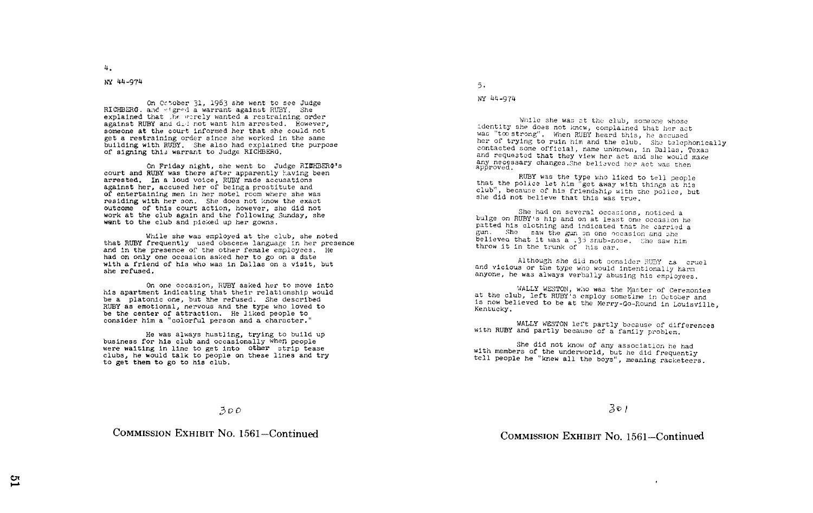### NY 44-974

On October 31, 1963 she went to see Judge RICHBERG, and signed a warrant against RUBY. She explained that .he worely wanted a restraining order against RUBY and did not want him arrested. However, someone at the court informed her that she could not get a restraining order since she worked in the same building with RUBY. She also had explained the purpose of signing this warrant to Judge RICHBERG,

On Friday night, she went to Judge RICHBERG's court and RUBY was there after apparently having been arrested. In a loud voice, RUBY made accusations against her, accused her of beinga prostitute and of entertaining men in her motel room where she was residing with her son. She does not know the exact outcome of this court action, however, she did not work at the club again and the following Sunday, she want to the club and picked up her gowns.

While she was employed at the club, she noted that RUBY frequently used obscene language in her presence and in the presence of the other female employees . He had on only one occasion asked her to go on a date with a friend of his who was in Dallas on a visit, but she refused .

On one occasion, RUBY asked her to move into his apartment indicating that their relationship would be a platonic one, but she refused. She described RUBY as emotional, nervous and the type who loved to be the center of attraction. He liked people to consider him a "colorful person and a character ."

He was always hustling, trying to build up business for his club and occasionally when people were waiting in line to get into other strip tease clubs, he would talk to people on these lines and try to get them to go to his club.

 $5.$ 

NY 44-974

While she was at the club, someone whose<br>identity she does not knew, complained that her act<br>was "too strong". When RUBY heard this, he accused her of trying to ruin him and the club. She talephonically contacted some official, name unknown, in Dallas, Texas and requested that they view her act and she would make any necessary changes. She believed her act was then approved.

RUBY was the type who liked to tell people that the police let him "get away with things at his club", because of his friendship with the police, but she did not believe that this was true .

She had on several occasions, noticed a<br>bulge on RUBY's hip and on at least one occasion he patted his clothing and indicated that he carried a<br>gun. She saw the gun on one occasion and she believed that it was  $\overline{a}$  .33 snub-nose. She saw him throw it in the trunk of his car.

Although she did not consider RUBY ts cruel and vicious or the type who would intentionally harm anyone, he was always verbally abusing his employees.

':TALLY WESTON, who was the toaster of Ceremonies at the club, left RUBY-s employ sometime In October and is now believed to be at the Merry-Go-Round in Louisville, Kentucky .

WALLY WESTON left partly because of differences with RUBY and partly because of a family problem.

She did not know of any association he had with members of the underworld, but he did frequently tell people he "knew all the boys", meaning racketeers .

301

COMMISSION EXHIBIT No. 1561-Continued

 $300$ 

COMMISSION EXHIBIT No. 1561-Continued

4 .